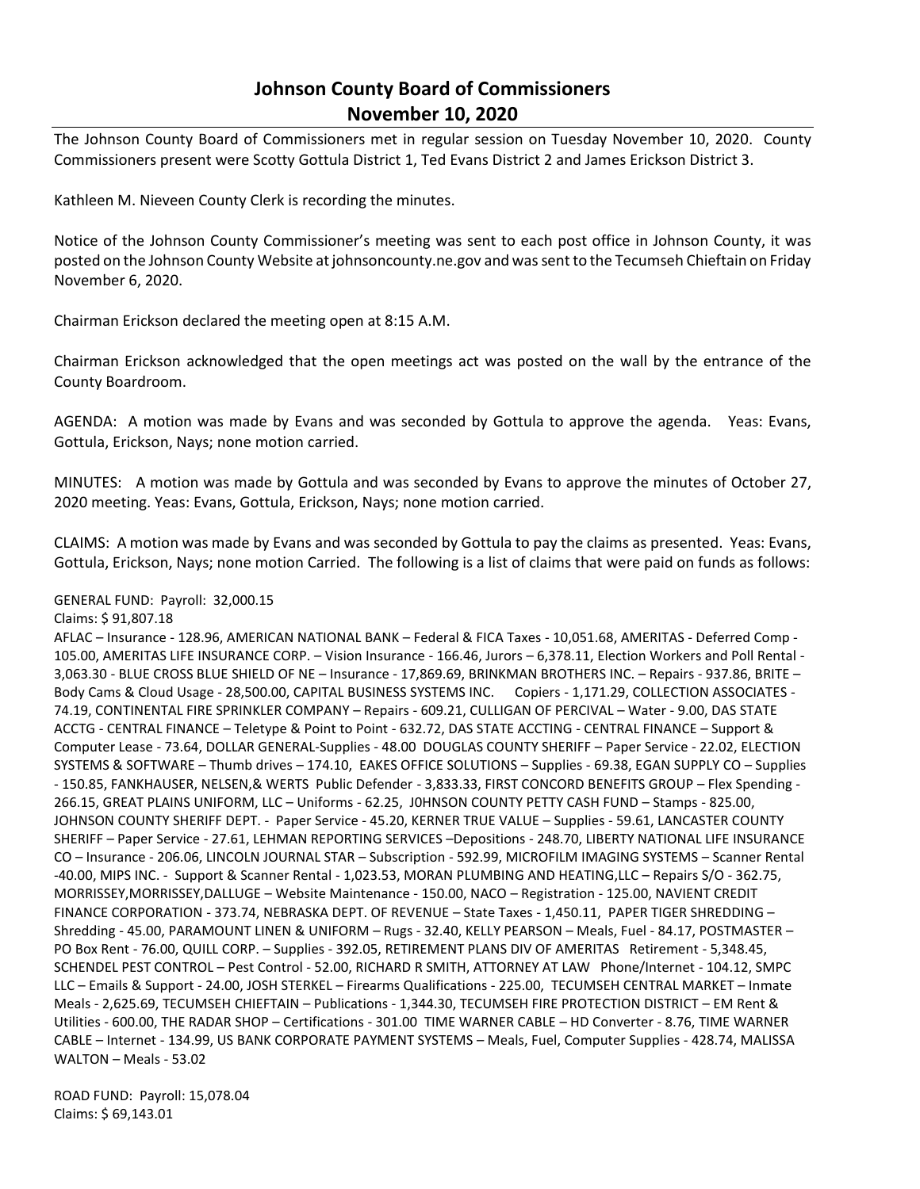## **Johnson County Board of Commissioners November 10, 2020**

The Johnson County Board of Commissioners met in regular session on Tuesday November 10, 2020. County Commissioners present were Scotty Gottula District 1, Ted Evans District 2 and James Erickson District 3.

Kathleen M. Nieveen County Clerk is recording the minutes.

Notice of the Johnson County Commissioner's meeting was sent to each post office in Johnson County, it was posted on the Johnson County Website at johnsoncounty.ne.gov and was sent to the Tecumseh Chieftain on Friday November 6, 2020.

Chairman Erickson declared the meeting open at 8:15 A.M.

Chairman Erickson acknowledged that the open meetings act was posted on the wall by the entrance of the County Boardroom.

AGENDA: A motion was made by Evans and was seconded by Gottula to approve the agenda. Yeas: Evans, Gottula, Erickson, Nays; none motion carried.

MINUTES: A motion was made by Gottula and was seconded by Evans to approve the minutes of October 27, 2020 meeting. Yeas: Evans, Gottula, Erickson, Nays; none motion carried.

CLAIMS: A motion was made by Evans and was seconded by Gottula to pay the claims as presented. Yeas: Evans, Gottula, Erickson, Nays; none motion Carried. The following is a list of claims that were paid on funds as follows:

## GENERAL FUND: Payroll: 32,000.15

## Claims: \$ 91,807.18

AFLAC – Insurance - 128.96, AMERICAN NATIONAL BANK – Federal & FICA Taxes - 10,051.68, AMERITAS - Deferred Comp - 105.00, AMERITAS LIFE INSURANCE CORP. – Vision Insurance - 166.46, Jurors – 6,378.11, Election Workers and Poll Rental - 3,063.30 - BLUE CROSS BLUE SHIELD OF NE – Insurance - 17,869.69, BRINKMAN BROTHERS INC. – Repairs - 937.86, BRITE – Body Cams & Cloud Usage - 28,500.00, CAPITAL BUSINESS SYSTEMS INC. Copiers - 1,171.29, COLLECTION ASSOCIATES - 74.19, CONTINENTAL FIRE SPRINKLER COMPANY – Repairs - 609.21, CULLIGAN OF PERCIVAL – Water - 9.00, DAS STATE ACCTG - CENTRAL FINANCE – Teletype & Point to Point - 632.72, DAS STATE ACCTING - CENTRAL FINANCE – Support & Computer Lease - 73.64, DOLLAR GENERAL-Supplies - 48.00 DOUGLAS COUNTY SHERIFF – Paper Service - 22.02, ELECTION SYSTEMS & SOFTWARE – Thumb drives – 174.10, EAKES OFFICE SOLUTIONS – Supplies - 69.38, EGAN SUPPLY CO – Supplies - 150.85, FANKHAUSER, NELSEN,& WERTS Public Defender - 3,833.33, FIRST CONCORD BENEFITS GROUP – Flex Spending - 266.15, GREAT PLAINS UNIFORM, LLC – Uniforms - 62.25, J0HNSON COUNTY PETTY CASH FUND – Stamps - 825.00, JOHNSON COUNTY SHERIFF DEPT. - Paper Service - 45.20, KERNER TRUE VALUE – Supplies - 59.61, LANCASTER COUNTY SHERIFF – Paper Service - 27.61, LEHMAN REPORTING SERVICES –Depositions - 248.70, LIBERTY NATIONAL LIFE INSURANCE CO – Insurance - 206.06, LINCOLN JOURNAL STAR – Subscription - 592.99, MICROFILM IMAGING SYSTEMS – Scanner Rental -40.00, MIPS INC. - Support & Scanner Rental - 1,023.53, MORAN PLUMBING AND HEATING,LLC – Repairs S/O - 362.75, MORRISSEY,MORRISSEY,DALLUGE – Website Maintenance - 150.00, NACO – Registration - 125.00, NAVIENT CREDIT FINANCE CORPORATION - 373.74, NEBRASKA DEPT. OF REVENUE – State Taxes - 1,450.11, PAPER TIGER SHREDDING – Shredding - 45.00, PARAMOUNT LINEN & UNIFORM – Rugs - 32.40, KELLY PEARSON – Meals, Fuel - 84.17, POSTMASTER – PO Box Rent - 76.00, QUILL CORP. – Supplies - 392.05, RETIREMENT PLANS DIV OF AMERITAS Retirement - 5,348.45, SCHENDEL PEST CONTROL – Pest Control - 52.00, RICHARD R SMITH, ATTORNEY AT LAW Phone/Internet - 104.12, SMPC LLC – Emails & Support - 24.00, JOSH STERKEL – Firearms Qualifications - 225.00, TECUMSEH CENTRAL MARKET – Inmate Meals - 2,625.69, TECUMSEH CHIEFTAIN – Publications - 1,344.30, TECUMSEH FIRE PROTECTION DISTRICT – EM Rent & Utilities - 600.00, THE RADAR SHOP – Certifications - 301.00 TIME WARNER CABLE – HD Converter - 8.76, TIME WARNER CABLE – Internet - 134.99, US BANK CORPORATE PAYMENT SYSTEMS – Meals, Fuel, Computer Supplies - 428.74, MALISSA WALTON – Meals - 53.02

ROAD FUND: Payroll: 15,078.04 Claims: \$ 69,143.01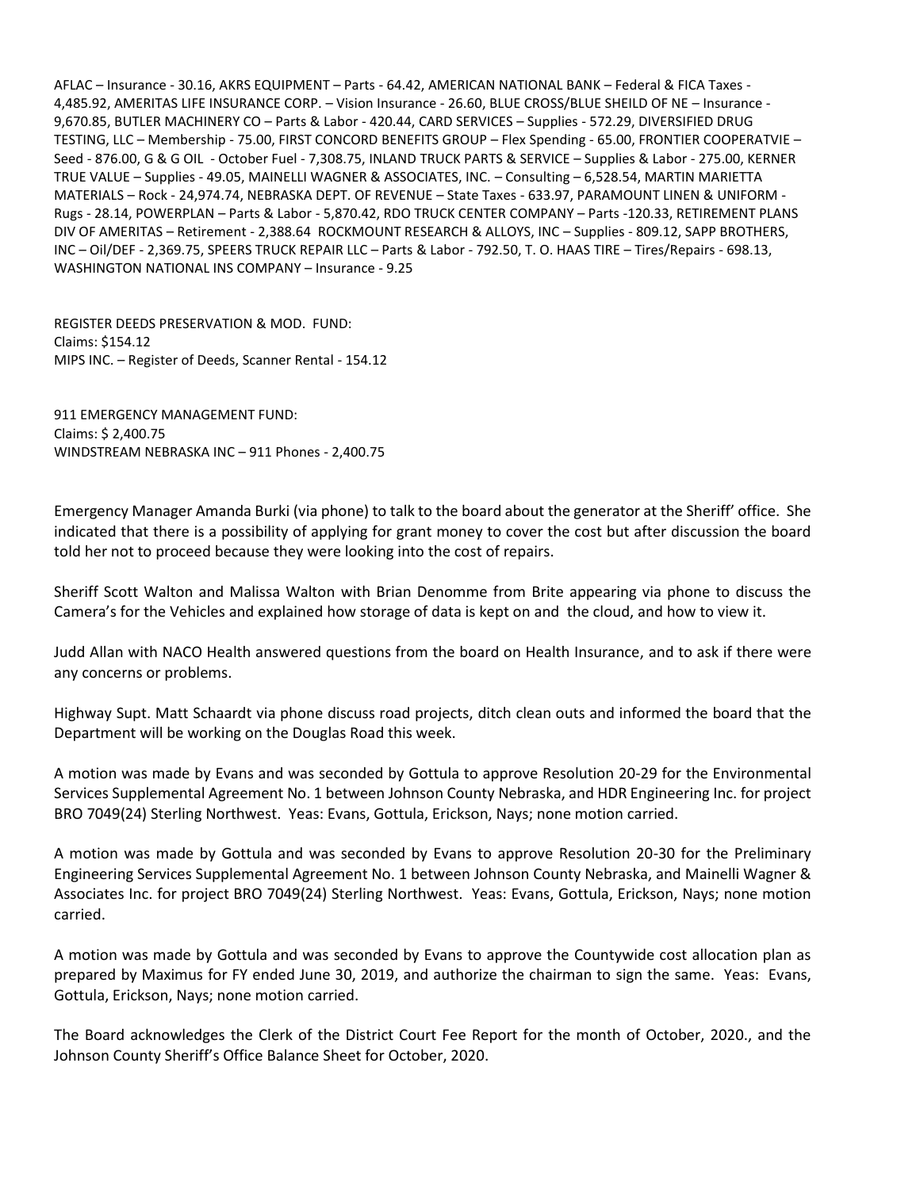AFLAC – Insurance - 30.16, AKRS EQUIPMENT – Parts - 64.42, AMERICAN NATIONAL BANK – Federal & FICA Taxes - 4,485.92, AMERITAS LIFE INSURANCE CORP. – Vision Insurance - 26.60, BLUE CROSS/BLUE SHEILD OF NE – Insurance - 9,670.85, BUTLER MACHINERY CO – Parts & Labor - 420.44, CARD SERVICES – Supplies - 572.29, DIVERSIFIED DRUG TESTING, LLC – Membership - 75.00, FIRST CONCORD BENEFITS GROUP – Flex Spending - 65.00, FRONTIER COOPERATVIE – Seed - 876.00, G & G OIL - October Fuel - 7,308.75, INLAND TRUCK PARTS & SERVICE – Supplies & Labor - 275.00, KERNER TRUE VALUE – Supplies - 49.05, MAINELLI WAGNER & ASSOCIATES, INC. – Consulting – 6,528.54, MARTIN MARIETTA MATERIALS – Rock - 24,974.74, NEBRASKA DEPT. OF REVENUE – State Taxes - 633.97, PARAMOUNT LINEN & UNIFORM - Rugs - 28.14, POWERPLAN – Parts & Labor - 5,870.42, RDO TRUCK CENTER COMPANY – Parts -120.33, RETIREMENT PLANS DIV OF AMERITAS – Retirement - 2,388.64 ROCKMOUNT RESEARCH & ALLOYS, INC – Supplies - 809.12, SAPP BROTHERS, INC – Oil/DEF - 2,369.75, SPEERS TRUCK REPAIR LLC – Parts & Labor - 792.50, T. O. HAAS TIRE – Tires/Repairs - 698.13, WASHINGTON NATIONAL INS COMPANY – Insurance - 9.25

REGISTER DEEDS PRESERVATION & MOD. FUND: Claims: \$154.12 MIPS INC. – Register of Deeds, Scanner Rental - 154.12

911 EMERGENCY MANAGEMENT FUND: Claims: \$ 2,400.75 WINDSTREAM NEBRASKA INC – 911 Phones - 2,400.75

Emergency Manager Amanda Burki (via phone) to talk to the board about the generator at the Sheriff' office. She indicated that there is a possibility of applying for grant money to cover the cost but after discussion the board told her not to proceed because they were looking into the cost of repairs.

Sheriff Scott Walton and Malissa Walton with Brian Denomme from Brite appearing via phone to discuss the Camera's for the Vehicles and explained how storage of data is kept on and the cloud, and how to view it.

Judd Allan with NACO Health answered questions from the board on Health Insurance, and to ask if there were any concerns or problems.

Highway Supt. Matt Schaardt via phone discuss road projects, ditch clean outs and informed the board that the Department will be working on the Douglas Road this week.

A motion was made by Evans and was seconded by Gottula to approve Resolution 20-29 for the Environmental Services Supplemental Agreement No. 1 between Johnson County Nebraska, and HDR Engineering Inc. for project BRO 7049(24) Sterling Northwest. Yeas: Evans, Gottula, Erickson, Nays; none motion carried.

A motion was made by Gottula and was seconded by Evans to approve Resolution 20-30 for the Preliminary Engineering Services Supplemental Agreement No. 1 between Johnson County Nebraska, and Mainelli Wagner & Associates Inc. for project BRO 7049(24) Sterling Northwest. Yeas: Evans, Gottula, Erickson, Nays; none motion carried.

A motion was made by Gottula and was seconded by Evans to approve the Countywide cost allocation plan as prepared by Maximus for FY ended June 30, 2019, and authorize the chairman to sign the same. Yeas: Evans, Gottula, Erickson, Nays; none motion carried.

The Board acknowledges the Clerk of the District Court Fee Report for the month of October, 2020., and the Johnson County Sheriff's Office Balance Sheet for October, 2020.